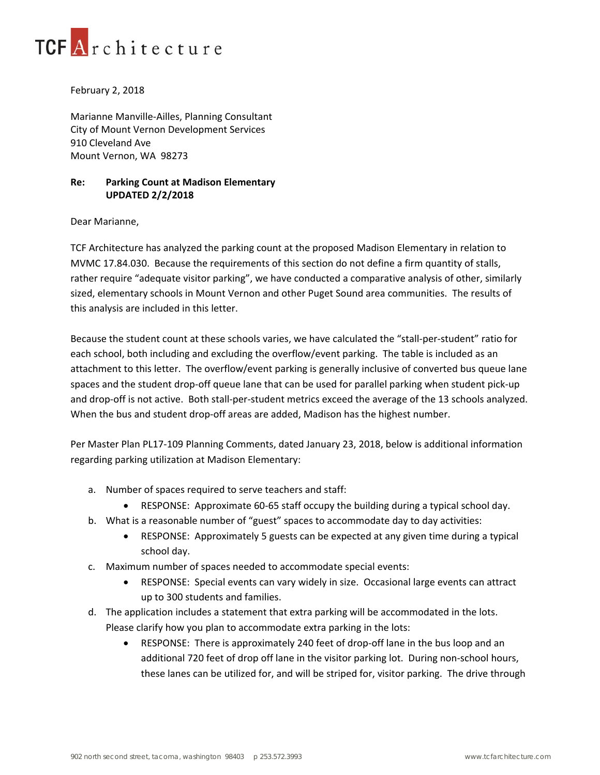

## February 2, 2018

Marianne Manville‐Ailles, Planning Consultant City of Mount Vernon Development Services 910 Cleveland Ave Mount Vernon, WA 98273

## **Re: Parking Count at Madison Elementary UPDATED 2/2/2018**

## Dear Marianne,

TCF Architecture has analyzed the parking count at the proposed Madison Elementary in relation to MVMC 17.84.030. Because the requirements of this section do not define a firm quantity of stalls, rather require "adequate visitor parking", we have conducted a comparative analysis of other, similarly sized, elementary schools in Mount Vernon and other Puget Sound area communities. The results of this analysis are included in this letter.

Because the student count at these schools varies, we have calculated the "stall‐per‐student" ratio for each school, both including and excluding the overflow/event parking. The table is included as an attachment to this letter. The overflow/event parking is generally inclusive of converted bus queue lane spaces and the student drop-off queue lane that can be used for parallel parking when student pick-up and drop-off is not active. Both stall-per-student metrics exceed the average of the 13 schools analyzed. When the bus and student drop-off areas are added, Madison has the highest number.

Per Master Plan PL17‐109 Planning Comments, dated January 23, 2018, below is additional information regarding parking utilization at Madison Elementary:

- a. Number of spaces required to serve teachers and staff:
	- RESPONSE: Approximate 60‐65 staff occupy the building during a typical school day.
- b. What is a reasonable number of "guest" spaces to accommodate day to day activities:
	- RESPONSE: Approximately 5 guests can be expected at any given time during a typical school day.
- c. Maximum number of spaces needed to accommodate special events:
	- RESPONSE: Special events can vary widely in size. Occasional large events can attract up to 300 students and families.
- d. The application includes a statement that extra parking will be accommodated in the lots. Please clarify how you plan to accommodate extra parking in the lots:
	- RESPONSE: There is approximately 240 feet of drop-off lane in the bus loop and an additional 720 feet of drop off lane in the visitor parking lot. During non‐school hours, these lanes can be utilized for, and will be striped for, visitor parking. The drive through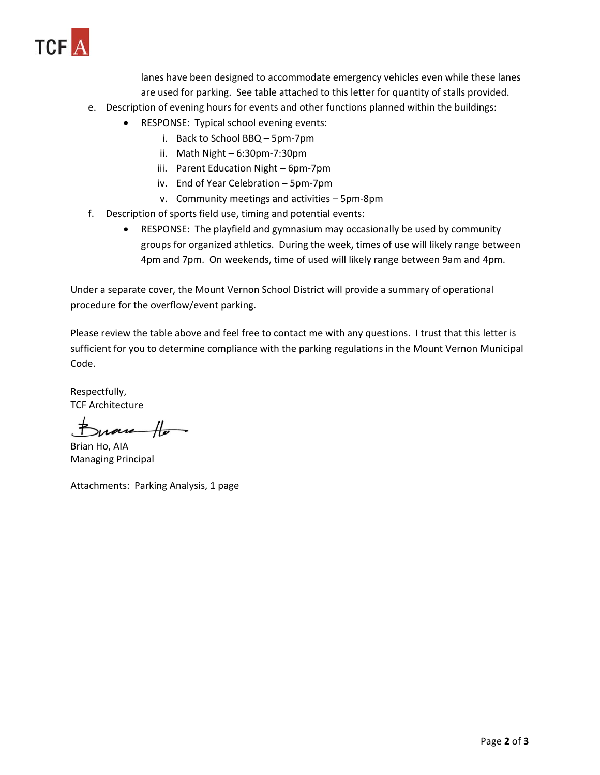

lanes have been designed to accommodate emergency vehicles even while these lanes are used for parking. See table attached to this letter for quantity of stalls provided.

- e. Description of evening hours for events and other functions planned within the buildings:
	- RESPONSE: Typical school evening events:
		- i. Back to School BBQ 5pm‐7pm
		- ii. Math Night 6:30pm‐7:30pm
		- iii. Parent Education Night 6pm‐7pm
		- iv. End of Year Celebration 5pm‐7pm
		- v. Community meetings and activities 5pm‐8pm
- f. Description of sports field use, timing and potential events:
	- RESPONSE: The playfield and gymnasium may occasionally be used by community groups for organized athletics. During the week, times of use will likely range between 4pm and 7pm. On weekends, time of used will likely range between 9am and 4pm.

Under a separate cover, the Mount Vernon School District will provide a summary of operational procedure for the overflow/event parking.

Please review the table above and feel free to contact me with any questions. I trust that this letter is sufficient for you to determine compliance with the parking regulations in the Mount Vernon Municipal Code.

Respectfully, TCF Architecture

mare Ho-

Brian Ho, AIA Managing Principal

Attachments: Parking Analysis, 1 page